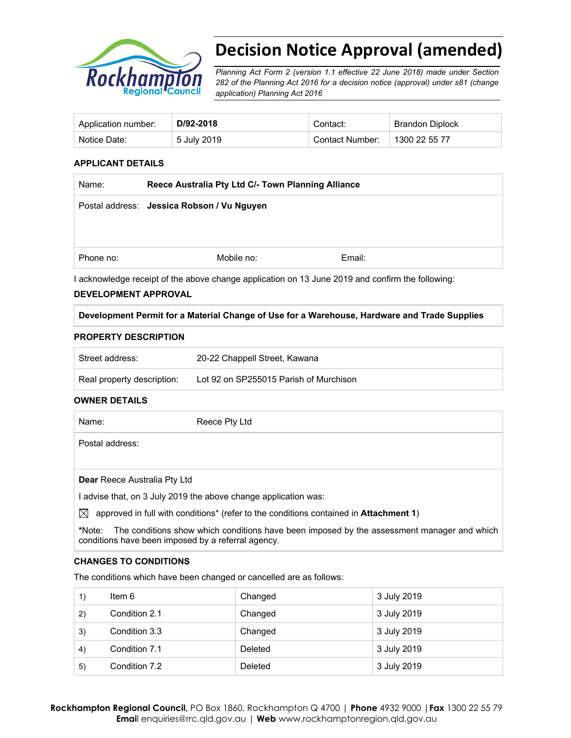

# **Decision Notice Approval (amended)**

*Planning Act Form 2 (version 1.1 effective 22 June 2018) made under Section 282 of the Planning Act 2016 for a decision notice (approval) under s81 (change application) Planning Act 2016* 

| Application number: | D/92-2018   | Contact:        | Brandon Diplock |
|---------------------|-------------|-----------------|-----------------|
| Notice Date:        | 5 July 2019 | Contact Number: | 1300 22 55 77   |

#### **APPLICANT DETAILS**

| Name:     | Reece Australia Pty Ltd C/- Town Planning Alliance |        |  |
|-----------|----------------------------------------------------|--------|--|
|           | Postal address: Jessica Robson / Vu Nguyen         |        |  |
|           |                                                    |        |  |
| Phone no: | Mobile no:                                         | Email: |  |
|           |                                                    |        |  |

I acknowledge receipt of the above change application on 13 June 2019 and confirm the following:

#### **DEVELOPMENT APPROVAL**

#### **Development Permit for a Material Change of Use for a Warehouse, Hardware and Trade Supplies**

#### **PROPERTY DESCRIPTION**

| Street address:            | 20-22 Chappell Street, Kawana          |
|----------------------------|----------------------------------------|
| Real property description: | Lot 92 on SP255015 Parish of Murchison |

#### **OWNER DETAILS**

| Name:                               | Reece Pty Ltd                                                                         |
|-------------------------------------|---------------------------------------------------------------------------------------|
| Postal address:                     |                                                                                       |
|                                     |                                                                                       |
| <b>Dear</b> Reece Australia Pty Ltd |                                                                                       |
|                                     | I advise that, on 3 July 2019 the above change application was:                       |
| X                                   | approved in full with conditions* (refer to the conditions contained in Attachment 1) |

**\***Note:The conditions show which conditions have been imposed by the assessment manager and which conditions have been imposed by a referral agency.

#### **CHANGES TO CONDITIONS**

The conditions which have been changed or cancelled are as follows:

| 1) | Item 6        | Changed | 3 July 2019 |
|----|---------------|---------|-------------|
| 2) | Condition 2.1 | Changed | 3 July 2019 |
| 3) | Condition 3.3 | Changed | 3 July 2019 |
| 4) | Condition 7.1 | Deleted | 3 July 2019 |
| 5) | Condition 7.2 | Deleted | 3 July 2019 |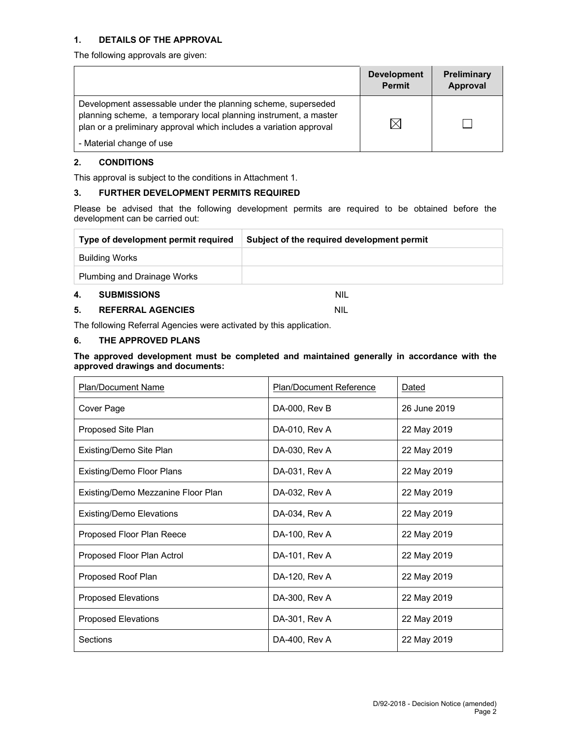#### **1. DETAILS OF THE APPROVAL**

The following approvals are given:

|                                                                                                                                                                                                        | <b>Development</b><br><b>Permit</b> | <b>Preliminary</b><br>Approval |
|--------------------------------------------------------------------------------------------------------------------------------------------------------------------------------------------------------|-------------------------------------|--------------------------------|
| Development assessable under the planning scheme, superseded<br>planning scheme, a temporary local planning instrument, a master<br>plan or a preliminary approval which includes a variation approval | $\times$                            |                                |
| - Material change of use                                                                                                                                                                               |                                     |                                |

#### **2. CONDITIONS**

This approval is subject to the conditions in Attachment 1.

#### **3. FURTHER DEVELOPMENT PERMITS REQUIRED**

Please be advised that the following development permits are required to be obtained before the development can be carried out:

| Type of development permit required | Subject of the required development permit |
|-------------------------------------|--------------------------------------------|
| Building Works                      |                                            |
| Plumbing and Drainage Works         |                                            |
| 4.<br><b>SUBMISSIONS</b>            | <b>NIL</b>                                 |

#### **5. REFERRAL AGENCIES** NIL

The following Referral Agencies were activated by this application.

#### **6. THE APPROVED PLANS**

#### **The approved development must be completed and maintained generally in accordance with the approved drawings and documents:**

| <b>Plan/Document Name</b>          | <b>Plan/Document Reference</b> | Dated        |
|------------------------------------|--------------------------------|--------------|
| Cover Page                         | DA-000, Rev B                  | 26 June 2019 |
| Proposed Site Plan                 | DA-010, Rev A                  | 22 May 2019  |
| Existing/Demo Site Plan            | DA-030, Rev A                  | 22 May 2019  |
| Existing/Demo Floor Plans          | DA-031, Rev A                  | 22 May 2019  |
| Existing/Demo Mezzanine Floor Plan | DA-032, Rev A                  | 22 May 2019  |
| <b>Existing/Demo Elevations</b>    | DA-034, Rev A                  | 22 May 2019  |
| Proposed Floor Plan Reece          | DA-100, Rev A                  | 22 May 2019  |
| Proposed Floor Plan Actrol         | DA-101, Rev A                  | 22 May 2019  |
| Proposed Roof Plan                 | DA-120, Rev A                  | 22 May 2019  |
| <b>Proposed Elevations</b>         | DA-300, Rev A                  | 22 May 2019  |
| <b>Proposed Elevations</b>         | DA-301, Rev A                  | 22 May 2019  |
| Sections                           | DA-400, Rev A                  | 22 May 2019  |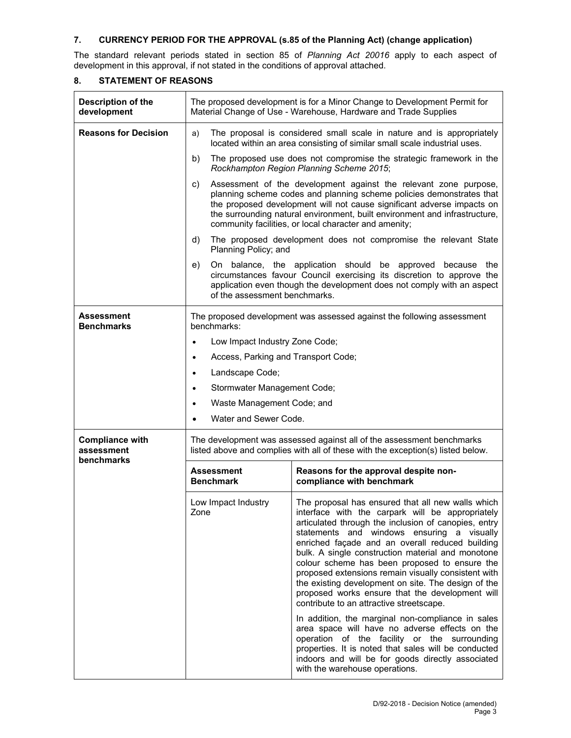#### **7. CURRENCY PERIOD FOR THE APPROVAL (s.85 of the Planning Act) (change application)**

The standard relevant periods stated in section 85 of *Planning Act 20016* apply to each aspect of development in this approval, if not stated in the conditions of approval attached.

| Description of the<br>development                  | The proposed development is for a Minor Change to Development Permit for<br>Material Change of Use - Warehouse, Hardware and Trade Supplies                                                                                                                                                                                                                     |                                                                                                                                                                                                                                                                                                                                                                                                                                                                                                                                                                                                                                        |  |  |
|----------------------------------------------------|-----------------------------------------------------------------------------------------------------------------------------------------------------------------------------------------------------------------------------------------------------------------------------------------------------------------------------------------------------------------|----------------------------------------------------------------------------------------------------------------------------------------------------------------------------------------------------------------------------------------------------------------------------------------------------------------------------------------------------------------------------------------------------------------------------------------------------------------------------------------------------------------------------------------------------------------------------------------------------------------------------------------|--|--|
| <b>Reasons for Decision</b>                        | The proposal is considered small scale in nature and is appropriately<br>a)<br>located within an area consisting of similar small scale industrial uses.                                                                                                                                                                                                        |                                                                                                                                                                                                                                                                                                                                                                                                                                                                                                                                                                                                                                        |  |  |
|                                                    | b)                                                                                                                                                                                                                                                                                                                                                              | The proposed use does not compromise the strategic framework in the<br>Rockhampton Region Planning Scheme 2015;                                                                                                                                                                                                                                                                                                                                                                                                                                                                                                                        |  |  |
|                                                    | Assessment of the development against the relevant zone purpose,<br>C)<br>planning scheme codes and planning scheme policies demonstrates that<br>the proposed development will not cause significant adverse impacts on<br>the surrounding natural environment, built environment and infrastructure,<br>community facilities, or local character and amenity; |                                                                                                                                                                                                                                                                                                                                                                                                                                                                                                                                                                                                                                        |  |  |
|                                                    | d)<br>Planning Policy; and                                                                                                                                                                                                                                                                                                                                      | The proposed development does not compromise the relevant State                                                                                                                                                                                                                                                                                                                                                                                                                                                                                                                                                                        |  |  |
|                                                    | e)                                                                                                                                                                                                                                                                                                                                                              | On balance, the application should be approved because the<br>circumstances favour Council exercising its discretion to approve the<br>application even though the development does not comply with an aspect<br>of the assessment benchmarks.                                                                                                                                                                                                                                                                                                                                                                                         |  |  |
| Assessment<br><b>Benchmarks</b>                    | The proposed development was assessed against the following assessment<br>benchmarks:                                                                                                                                                                                                                                                                           |                                                                                                                                                                                                                                                                                                                                                                                                                                                                                                                                                                                                                                        |  |  |
|                                                    | Low Impact Industry Zone Code;<br>$\bullet$                                                                                                                                                                                                                                                                                                                     |                                                                                                                                                                                                                                                                                                                                                                                                                                                                                                                                                                                                                                        |  |  |
|                                                    | Access, Parking and Transport Code;<br>$\bullet$                                                                                                                                                                                                                                                                                                                |                                                                                                                                                                                                                                                                                                                                                                                                                                                                                                                                                                                                                                        |  |  |
|                                                    | Landscape Code;<br>$\bullet$                                                                                                                                                                                                                                                                                                                                    |                                                                                                                                                                                                                                                                                                                                                                                                                                                                                                                                                                                                                                        |  |  |
|                                                    | Stormwater Management Code;<br>$\bullet$                                                                                                                                                                                                                                                                                                                        |                                                                                                                                                                                                                                                                                                                                                                                                                                                                                                                                                                                                                                        |  |  |
|                                                    | Waste Management Code; and<br>$\bullet$                                                                                                                                                                                                                                                                                                                         |                                                                                                                                                                                                                                                                                                                                                                                                                                                                                                                                                                                                                                        |  |  |
|                                                    | Water and Sewer Code.<br>$\bullet$                                                                                                                                                                                                                                                                                                                              |                                                                                                                                                                                                                                                                                                                                                                                                                                                                                                                                                                                                                                        |  |  |
| <b>Compliance with</b><br>assessment<br>benchmarks |                                                                                                                                                                                                                                                                                                                                                                 | The development was assessed against all of the assessment benchmarks<br>listed above and complies with all of these with the exception(s) listed below.                                                                                                                                                                                                                                                                                                                                                                                                                                                                               |  |  |
|                                                    | Assessment<br><b>Benchmark</b>                                                                                                                                                                                                                                                                                                                                  | Reasons for the approval despite non-<br>compliance with benchmark                                                                                                                                                                                                                                                                                                                                                                                                                                                                                                                                                                     |  |  |
|                                                    | Low Impact Industry<br>∠one                                                                                                                                                                                                                                                                                                                                     | The proposal has ensured that all new walls which<br>interface with the carpark will be appropriately<br>articulated through the inclusion of canopies, entry<br>statements and windows ensuring a visually<br>enriched façade and an overall reduced building<br>bulk. A single construction material and monotone<br>colour scheme has been proposed to ensure the<br>proposed extensions remain visually consistent with<br>the existing development on site. The design of the<br>proposed works ensure that the development will<br>contribute to an attractive streetscape.<br>In addition, the marginal non-compliance in sales |  |  |
|                                                    |                                                                                                                                                                                                                                                                                                                                                                 | area space will have no adverse effects on the<br>operation of the facility or the surrounding<br>properties. It is noted that sales will be conducted<br>indoors and will be for goods directly associated<br>with the warehouse operations.                                                                                                                                                                                                                                                                                                                                                                                          |  |  |

#### **8. STATEMENT OF REASONS**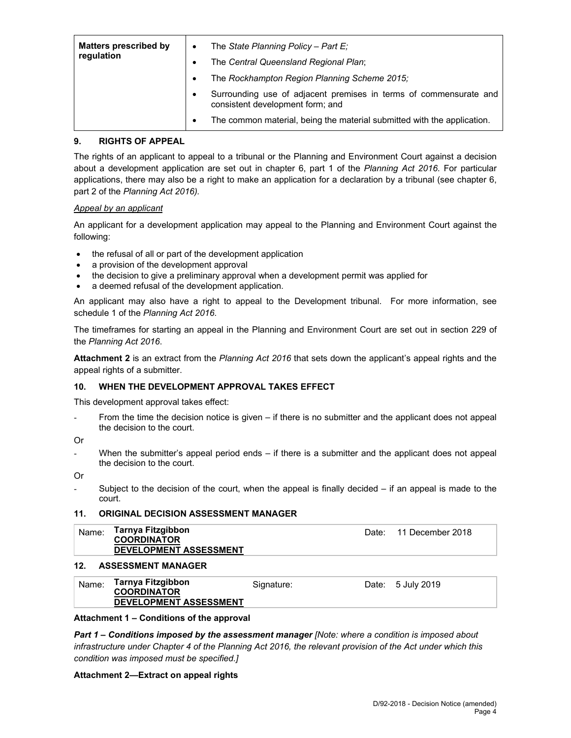| <b>Matters prescribed by</b><br>regulation |   | The State Planning Policy - Part $E_i$<br>The Central Queensland Regional Plan;                       |
|--------------------------------------------|---|-------------------------------------------------------------------------------------------------------|
|                                            |   | The Rockhampton Region Planning Scheme 2015;                                                          |
|                                            |   | Surrounding use of adjacent premises in terms of commensurate and<br>consistent development form; and |
|                                            | ٠ | The common material, being the material submitted with the application.                               |

#### **9. RIGHTS OF APPEAL**

The rights of an applicant to appeal to a tribunal or the Planning and Environment Court against a decision about a development application are set out in chapter 6, part 1 of the *Planning Act 2016*. For particular applications, there may also be a right to make an application for a declaration by a tribunal (see chapter 6, part 2 of the *Planning Act 2016).*

#### *Appeal by an applicant*

An applicant for a development application may appeal to the Planning and Environment Court against the following:

- the refusal of all or part of the development application
- a provision of the development approval
- the decision to give a preliminary approval when a development permit was applied for
- a deemed refusal of the development application.

An applicant may also have a right to appeal to the Development tribunal. For more information, see schedule 1 of the *Planning Act 2016*.

The timeframes for starting an appeal in the Planning and Environment Court are set out in section 229 of the *Planning Act 2016*.

**Attachment 2** is an extract from the *Planning Act 2016* that sets down the applicant's appeal rights and the appeal rights of a submitter.

#### **10. WHEN THE DEVELOPMENT APPROVAL TAKES EFFECT**

This development approval takes effect:

From the time the decision notice is given – if there is no submitter and the applicant does not appeal the decision to the court.

Or

When the submitter's appeal period ends  $-$  if there is a submitter and the applicant does not appeal the decision to the court.

Or

Subject to the decision of the court, when the appeal is finally decided  $-$  if an appeal is made to the court.

#### **11. ORIGINAL DECISION ASSESSMENT MANAGER**

| Name: | Tarnya Fitzgibbon<br><b>COORDINATOR</b> |
|-------|-----------------------------------------|
|       | <b>DEVELOPMENT ASSESSMENT</b>           |

#### **12. ASSESSMENT MANAGER**

| Tarnya Fitzgibbon<br>Name:<br>Date: 5 July 2019<br>Signature:<br><b>COORDINATOR</b><br><b>DEVELOPMENT ASSESSMENT</b> |  |
|----------------------------------------------------------------------------------------------------------------------|--|
|----------------------------------------------------------------------------------------------------------------------|--|

#### **Attachment 1 – Conditions of the approval**

*Part 1* **–** *Conditions imposed by the assessment manager [Note: where a condition is imposed about infrastructure under Chapter 4 of the Planning Act 2016, the relevant provision of the Act under which this condition was imposed must be specified.]*

#### **Attachment 2—Extract on appeal rights**

Date: 11 December 2018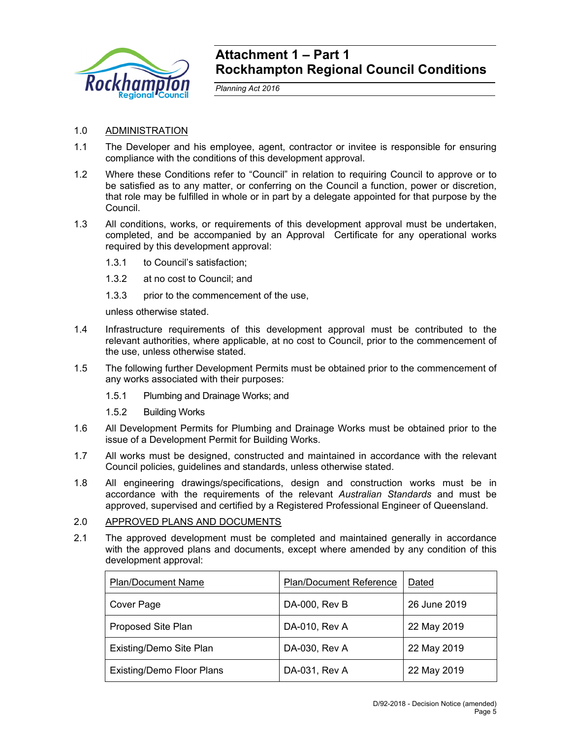

### **Attachment 1 – Part 1 Rockhampton Regional Council Conditions**

*Planning Act 2016* 

### 1.0 ADMINISTRATION

- 1.1 The Developer and his employee, agent, contractor or invitee is responsible for ensuring compliance with the conditions of this development approval.
- 1.2 Where these Conditions refer to "Council" in relation to requiring Council to approve or to be satisfied as to any matter, or conferring on the Council a function, power or discretion, that role may be fulfilled in whole or in part by a delegate appointed for that purpose by the Council.
- 1.3 All conditions, works, or requirements of this development approval must be undertaken, completed, and be accompanied by an Approval Certificate for any operational works required by this development approval:
	- 1.3.1 to Council's satisfaction;
	- 1.3.2 at no cost to Council; and
	- 1.3.3 prior to the commencement of the use,

unless otherwise stated.

- 1.4 Infrastructure requirements of this development approval must be contributed to the relevant authorities, where applicable, at no cost to Council, prior to the commencement of the use, unless otherwise stated.
- 1.5 The following further Development Permits must be obtained prior to the commencement of any works associated with their purposes:
	- 1.5.1 Plumbing and Drainage Works; and
	- 1.5.2 Building Works
- 1.6 All Development Permits for Plumbing and Drainage Works must be obtained prior to the issue of a Development Permit for Building Works.
- 1.7 All works must be designed, constructed and maintained in accordance with the relevant Council policies, guidelines and standards, unless otherwise stated.
- 1.8 All engineering drawings/specifications, design and construction works must be in accordance with the requirements of the relevant *Australian Standards* and must be approved, supervised and certified by a Registered Professional Engineer of Queensland.
- 2.0 APPROVED PLANS AND DOCUMENTS
- 2.1 The approved development must be completed and maintained generally in accordance with the approved plans and documents, except where amended by any condition of this development approval:

| <b>Plan/Document Name</b>        | <b>Plan/Document Reference</b> | Dated        |
|----------------------------------|--------------------------------|--------------|
| Cover Page                       | DA-000, Rev B                  | 26 June 2019 |
| <b>Proposed Site Plan</b>        | DA-010, Rev A                  | 22 May 2019  |
| Existing/Demo Site Plan          | DA-030, Rev A                  | 22 May 2019  |
| <b>Existing/Demo Floor Plans</b> | DA-031, Rev A                  | 22 May 2019  |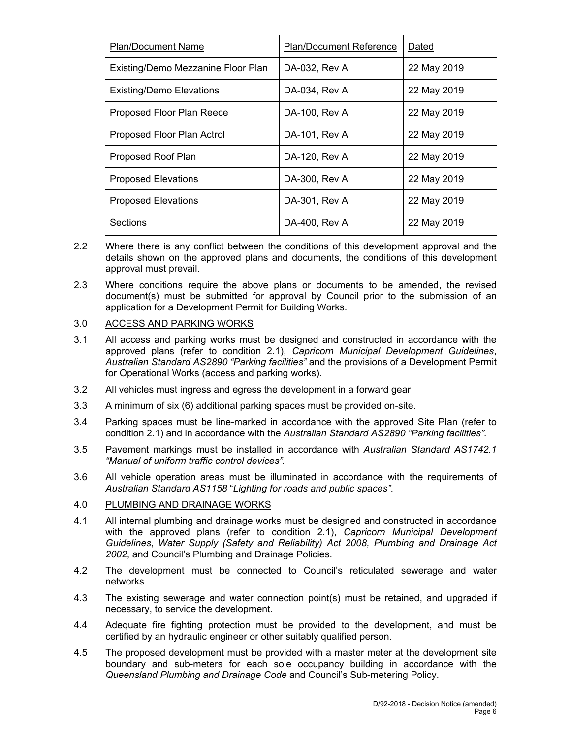| <b>Plan/Document Name</b>          | <b>Plan/Document Reference</b> | Dated       |
|------------------------------------|--------------------------------|-------------|
| Existing/Demo Mezzanine Floor Plan | DA-032, Rev A                  | 22 May 2019 |
| <b>Existing/Demo Elevations</b>    | DA-034, Rev A                  | 22 May 2019 |
| Proposed Floor Plan Reece          | DA-100, Rev A                  | 22 May 2019 |
| Proposed Floor Plan Actrol         | DA-101, Rev A                  | 22 May 2019 |
| Proposed Roof Plan                 | DA-120, Rev A                  | 22 May 2019 |
| <b>Proposed Elevations</b>         | DA-300, Rev A                  | 22 May 2019 |
| <b>Proposed Elevations</b>         | DA-301, Rev A                  | 22 May 2019 |
| Sections                           | DA-400, Rev A                  | 22 May 2019 |

- 2.2 Where there is any conflict between the conditions of this development approval and the details shown on the approved plans and documents, the conditions of this development approval must prevail.
- 2.3 Where conditions require the above plans or documents to be amended, the revised document(s) must be submitted for approval by Council prior to the submission of an application for a Development Permit for Building Works.

#### 3.0 ACCESS AND PARKING WORKS

- 3.1 All access and parking works must be designed and constructed in accordance with the approved plans (refer to condition 2.1), *Capricorn Municipal Development Guidelines*, *Australian Standard AS2890 "Parking facilities"* and the provisions of a Development Permit for Operational Works (access and parking works).
- 3.2 All vehicles must ingress and egress the development in a forward gear.
- 3.3 A minimum of six (6) additional parking spaces must be provided on-site.
- 3.4 Parking spaces must be line-marked in accordance with the approved Site Plan (refer to condition 2.1) and in accordance with the *Australian Standard AS2890 "Parking facilities".*
- 3.5 Pavement markings must be installed in accordance with *Australian Standard AS1742.1 "Manual of uniform traffic control devices".*
- 3.6 All vehicle operation areas must be illuminated in accordance with the requirements of *Australian Standard AS1158* "*Lighting for roads and public spaces"*.

#### 4.0 PLUMBING AND DRAINAGE WORKS

- 4.1 All internal plumbing and drainage works must be designed and constructed in accordance with the approved plans (refer to condition 2.1), *Capricorn Municipal Development Guidelines*, *Water Supply (Safety and Reliability) Act 2008, Plumbing and Drainage Act 2002*, and Council's Plumbing and Drainage Policies.
- 4.2 The development must be connected to Council's reticulated sewerage and water networks.
- 4.3 The existing sewerage and water connection point(s) must be retained, and upgraded if necessary, to service the development.
- 4.4 Adequate fire fighting protection must be provided to the development, and must be certified by an hydraulic engineer or other suitably qualified person.
- 4.5 The proposed development must be provided with a master meter at the development site boundary and sub-meters for each sole occupancy building in accordance with the *Queensland Plumbing and Drainage Code* and Council's Sub-metering Policy.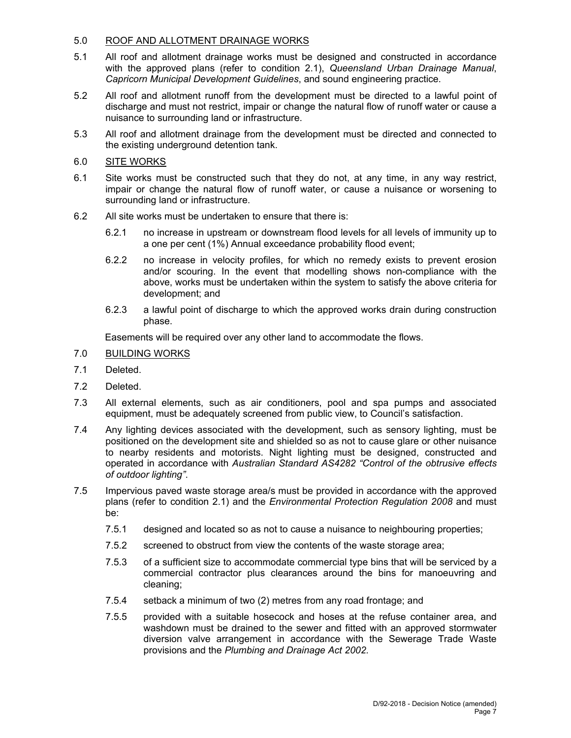### 5.0 ROOF AND ALLOTMENT DRAINAGE WORKS

- 5.1 All roof and allotment drainage works must be designed and constructed in accordance with the approved plans (refer to condition 2.1), *Queensland Urban Drainage Manual*, *Capricorn Municipal Development Guidelines*, and sound engineering practice.
- 5.2 All roof and allotment runoff from the development must be directed to a lawful point of discharge and must not restrict, impair or change the natural flow of runoff water or cause a nuisance to surrounding land or infrastructure.
- 5.3 All roof and allotment drainage from the development must be directed and connected to the existing underground detention tank.
- 6.0 SITE WORKS
- 6.1 Site works must be constructed such that they do not, at any time, in any way restrict, impair or change the natural flow of runoff water, or cause a nuisance or worsening to surrounding land or infrastructure.
- 6.2 All site works must be undertaken to ensure that there is:
	- 6.2.1 no increase in upstream or downstream flood levels for all levels of immunity up to a one per cent (1%) Annual exceedance probability flood event;
	- 6.2.2 no increase in velocity profiles, for which no remedy exists to prevent erosion and/or scouring. In the event that modelling shows non-compliance with the above, works must be undertaken within the system to satisfy the above criteria for development; and
	- 6.2.3 a lawful point of discharge to which the approved works drain during construction phase.

Easements will be required over any other land to accommodate the flows.

- 7.0 BUILDING WORKS
- 7.1 Deleted.
- 7.2 Deleted.
- 7.3 All external elements, such as air conditioners, pool and spa pumps and associated equipment, must be adequately screened from public view, to Council's satisfaction.
- 7.4 Any lighting devices associated with the development, such as sensory lighting, must be positioned on the development site and shielded so as not to cause glare or other nuisance to nearby residents and motorists. Night lighting must be designed, constructed and operated in accordance with *Australian Standard AS4282 "Control of the obtrusive effects of outdoor lighting"*.
- 7.5 Impervious paved waste storage area/s must be provided in accordance with the approved plans (refer to condition 2.1) and the *Environmental Protection Regulation 2008* and must be:
	- 7.5.1 designed and located so as not to cause a nuisance to neighbouring properties;
	- 7.5.2 screened to obstruct from view the contents of the waste storage area;
	- 7.5.3 of a sufficient size to accommodate commercial type bins that will be serviced by a commercial contractor plus clearances around the bins for manoeuvring and cleaning;
	- 7.5.4 setback a minimum of two (2) metres from any road frontage; and
	- 7.5.5 provided with a suitable hosecock and hoses at the refuse container area, and washdown must be drained to the sewer and fitted with an approved stormwater diversion valve arrangement in accordance with the Sewerage Trade Waste provisions and the *Plumbing and Drainage Act 2002.*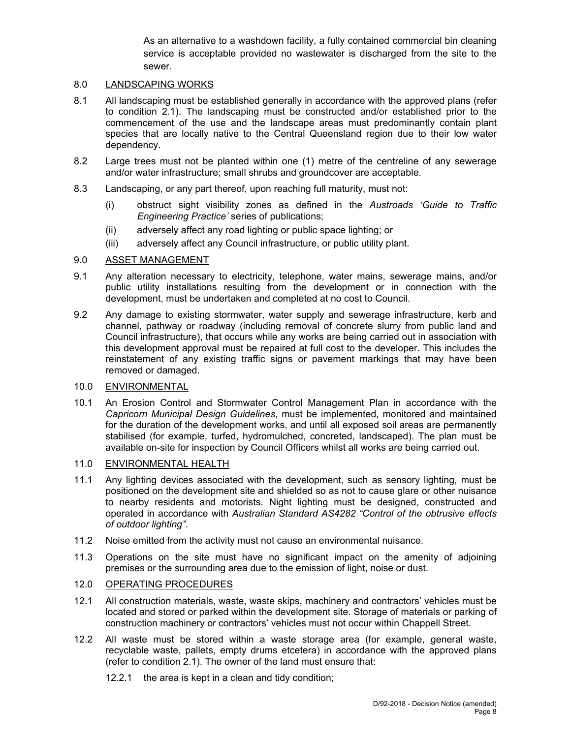As an alternative to a washdown facility, a fully contained commercial bin cleaning service is acceptable provided no wastewater is discharged from the site to the sewer.

#### 8.0 LANDSCAPING WORKS

- 8.1 All landscaping must be established generally in accordance with the approved plans (refer to condition 2.1). The landscaping must be constructed and/or established prior to the commencement of the use and the landscape areas must predominantly contain plant species that are locally native to the Central Queensland region due to their low water dependency.
- 8.2 Large trees must not be planted within one (1) metre of the centreline of any sewerage and/or water infrastructure; small shrubs and groundcover are acceptable.
- 8.3 Landscaping, or any part thereof, upon reaching full maturity, must not:
	- (i) obstruct sight visibility zones as defined in the *Austroads 'Guide to Traffic Engineering Practice'* series of publications;
	- (ii) adversely affect any road lighting or public space lighting; or
	- (iii) adversely affect any Council infrastructure, or public utility plant.

#### 9.0 ASSET MANAGEMENT

- 9.1 Any alteration necessary to electricity, telephone, water mains, sewerage mains, and/or public utility installations resulting from the development or in connection with the development, must be undertaken and completed at no cost to Council.
- 9.2 Any damage to existing stormwater, water supply and sewerage infrastructure, kerb and channel, pathway or roadway (including removal of concrete slurry from public land and Council infrastructure), that occurs while any works are being carried out in association with this development approval must be repaired at full cost to the developer. This includes the reinstatement of any existing traffic signs or pavement markings that may have been removed or damaged.

#### 10.0 ENVIRONMENTAL

10.1 An Erosion Control and Stormwater Control Management Plan in accordance with the *Capricorn Municipal Design Guidelines*, must be implemented, monitored and maintained for the duration of the development works, and until all exposed soil areas are permanently stabilised (for example, turfed, hydromulched, concreted, landscaped). The plan must be available on-site for inspection by Council Officers whilst all works are being carried out.

#### 11.0 ENVIRONMENTAL HEALTH

- 11.1 Any lighting devices associated with the development, such as sensory lighting, must be positioned on the development site and shielded so as not to cause glare or other nuisance to nearby residents and motorists. Night lighting must be designed, constructed and operated in accordance with *Australian Standard AS4282 "Control of the obtrusive effects of outdoor lighting"*.
- 11.2 Noise emitted from the activity must not cause an environmental nuisance.
- 11.3 Operations on the site must have no significant impact on the amenity of adjoining premises or the surrounding area due to the emission of light, noise or dust.

### 12.0 OPERATING PROCEDURES

- 12.1 All construction materials, waste, waste skips, machinery and contractors' vehicles must be located and stored or parked within the development site. Storage of materials or parking of construction machinery or contractors' vehicles must not occur within Chappell Street.
- 12.2 All waste must be stored within a waste storage area (for example, general waste, recyclable waste, pallets, empty drums etcetera) in accordance with the approved plans (refer to condition 2.1). The owner of the land must ensure that:
	- 12.2.1 the area is kept in a clean and tidy condition;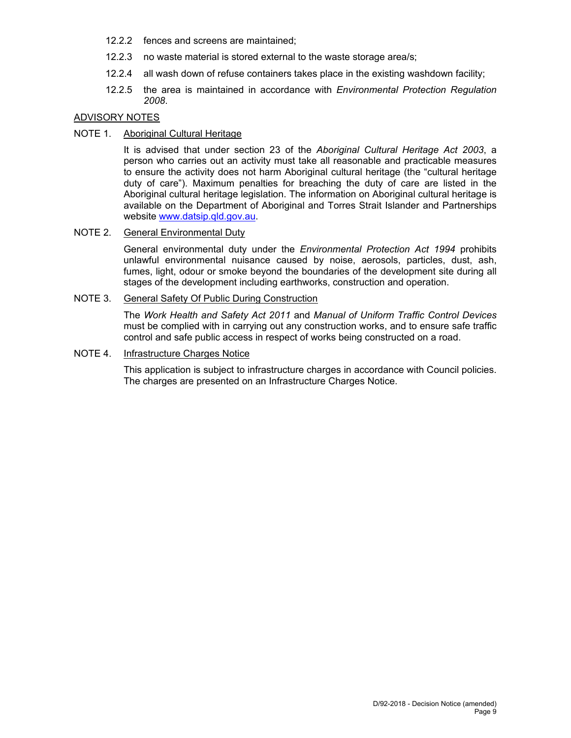- 12.2.2 fences and screens are maintained;
- 12.2.3 no waste material is stored external to the waste storage area/s;
- 12.2.4 all wash down of refuse containers takes place in the existing washdown facility;
- 12.2.5 the area is maintained in accordance with *Environmental Protection Regulation 2008*.

#### ADVISORY NOTES

#### NOTE 1. Aboriginal Cultural Heritage

It is advised that under section 23 of the *Aboriginal Cultural Heritage Act 2003*, a person who carries out an activity must take all reasonable and practicable measures to ensure the activity does not harm Aboriginal cultural heritage (the "cultural heritage duty of care"). Maximum penalties for breaching the duty of care are listed in the Aboriginal cultural heritage legislation. The information on Aboriginal cultural heritage is available on the Department of Aboriginal and Torres Strait Islander and Partnerships website www.datsip.qld.gov.au.

#### NOTE 2. General Environmental Duty

General environmental duty under the *Environmental Protection Act 1994* prohibits unlawful environmental nuisance caused by noise, aerosols, particles, dust, ash, fumes, light, odour or smoke beyond the boundaries of the development site during all stages of the development including earthworks, construction and operation.

#### NOTE 3. General Safety Of Public During Construction

The *Work Health and Safety Act 2011* and *Manual of Uniform Traffic Control Devices* must be complied with in carrying out any construction works, and to ensure safe traffic control and safe public access in respect of works being constructed on a road.

#### NOTE 4. Infrastructure Charges Notice

This application is subject to infrastructure charges in accordance with Council policies. The charges are presented on an Infrastructure Charges Notice.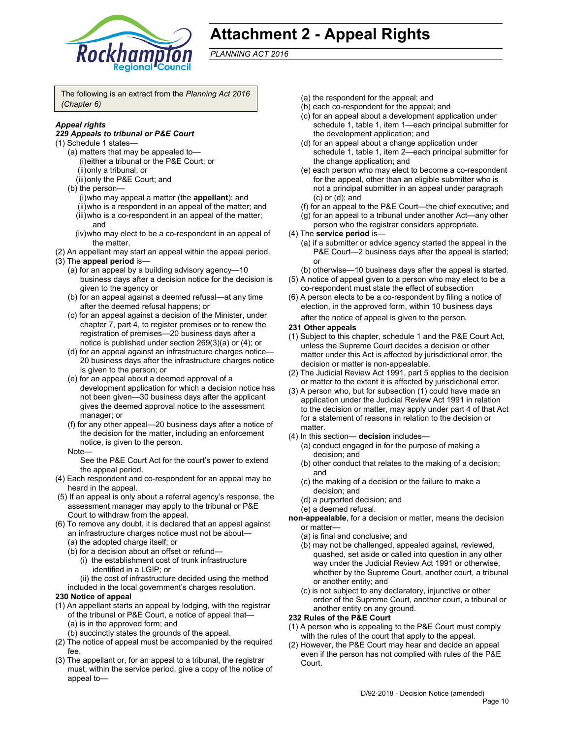

# **Attachment 2 - Appeal Rights**

*PLANNING ACT 2016*

The following is an extract from the *Planning Act 2016 (Chapter 6)*

#### *Appeal rights*

#### *229 Appeals to tribunal or P&E Court*

- (1) Schedule 1 states—
	- (a) matters that may be appealed to— (i) either a tribunal or the P&E Court; or (ii) only a tribunal; or
		- (iii) only the P&E Court; and
	- (b) the person—
		- (i) who may appeal a matter (the **appellant**); and
		- (ii) who is a respondent in an appeal of the matter; and
		- (iii) who is a co-respondent in an appeal of the matter; and
		- (iv) who may elect to be a co-respondent in an appeal of the matter.
- (2) An appellant may start an appeal within the appeal period.
- (3) The **appeal period** is—
	- (a) for an appeal by a building advisory agency—10 business days after a decision notice for the decision is given to the agency or
	- (b) for an appeal against a deemed refusal—at any time after the deemed refusal happens; or
	- (c) for an appeal against a decision of the Minister, under chapter 7, part 4, to register premises or to renew the registration of premises—20 business days after a notice is published under section 269(3)(a) or (4); or
	- (d) for an appeal against an infrastructure charges notice— 20 business days after the infrastructure charges notice is given to the person; or
	- (e) for an appeal about a deemed approval of a development application for which a decision notice has not been given—30 business days after the applicant gives the deemed approval notice to the assessment manager; or
	- (f) for any other appeal—20 business days after a notice of the decision for the matter, including an enforcement notice, is given to the person.
	- Note—

See the P&E Court Act for the court's power to extend the appeal period.

- (4) Each respondent and co-respondent for an appeal may be heard in the appeal.
- (5) If an appeal is only about a referral agency's response, the assessment manager may apply to the tribunal or P&E Court to withdraw from the appeal.
- (6) To remove any doubt, it is declared that an appeal against an infrastructure charges notice must not be about—
	- (a) the adopted charge itself; or
	- (b) for a decision about an offset or refund—
		- (i) the establishment cost of trunk infrastructure identified in a LGIP; or
	- (ii) the cost of infrastructure decided using the method included in the local government's charges resolution.

#### **230 Notice of appeal**

- (1) An appellant starts an appeal by lodging, with the registrar of the tribunal or P&E Court, a notice of appeal that— (a) is in the approved form; and
	- (b) succinctly states the grounds of the appeal.
- (2) The notice of appeal must be accompanied by the required fee.
- (3) The appellant or, for an appeal to a tribunal, the registrar must, within the service period, give a copy of the notice of appeal to—
- (a) the respondent for the appeal; and
- (b) each co-respondent for the appeal; and
- (c) for an appeal about a development application under schedule 1, table 1, item 1—each principal submitter for the development application; and
- (d) for an appeal about a change application under schedule 1, table 1, item 2—each principal submitter for the change application; and
- (e) each person who may elect to become a co-respondent for the appeal, other than an eligible submitter who is not a principal submitter in an appeal under paragraph (c) or (d); and
- (f) for an appeal to the P&E Court—the chief executive; and
- (g) for an appeal to a tribunal under another Act—any other person who the registrar considers appropriate.
- (4) The **service period** is—
	- (a) if a submitter or advice agency started the appeal in the P&E Court-2 business days after the appeal is started; or
	- (b) otherwise—10 business days after the appeal is started.
- (5) A notice of appeal given to a person who may elect to be a co-respondent must state the effect of subsection
- (6) A person elects to be a co-respondent by filing a notice of election, in the approved form, within 10 business days

after the notice of appeal is given to the person*.*

- **231 Other appeals**
- (1) Subject to this chapter, schedule 1 and the P&E Court Act, unless the Supreme Court decides a decision or other matter under this Act is affected by jurisdictional error, the decision or matter is non-appealable.
- (2) The Judicial Review Act 1991, part 5 applies to the decision or matter to the extent it is affected by jurisdictional error.
- (3) A person who, but for subsection (1) could have made an application under the Judicial Review Act 1991 in relation to the decision or matter, may apply under part 4 of that Act for a statement of reasons in relation to the decision or matter.
- (4) In this section— **decision** includes—
	- (a) conduct engaged in for the purpose of making a decision; and
	- (b) other conduct that relates to the making of a decision; and
	- (c) the making of a decision or the failure to make a decision; and
	- (d) a purported decision; and
	- (e) a deemed refusal.

**non-appealable**, for a decision or matter, means the decision or matter—

- (a) is final and conclusive; and
- (b) may not be challenged, appealed against, reviewed, quashed, set aside or called into question in any other way under the Judicial Review Act 1991 or otherwise, whether by the Supreme Court, another court, a tribunal or another entity; and
- (c) is not subject to any declaratory, injunctive or other order of the Supreme Court, another court, a tribunal or another entity on any ground.

#### **232 Rules of the P&E Court**

- (1) A person who is appealing to the P&E Court must comply with the rules of the court that apply to the appeal.
- (2) However, the P&E Court may hear and decide an appeal even if the person has not complied with rules of the P&E Court.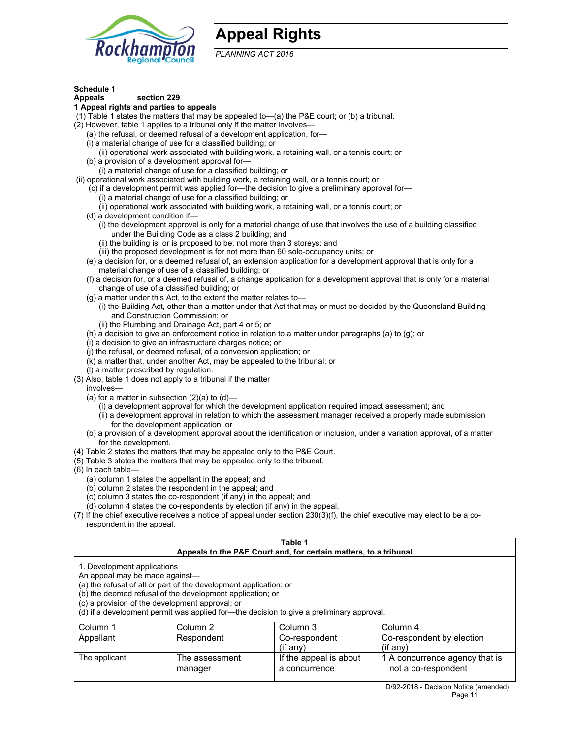

## **Appeal Rights**

*PLANNING ACT 2016*

#### **Schedule 1**

#### **Appeals section 229**

#### **1 Appeal rights and parties to appeals**

(1) Table 1 states the matters that may be appealed to—(a) the P&E court; or (b) a tribunal.

- (2) However, table 1 applies to a tribunal only if the matter involves—
	- (a) the refusal, or deemed refusal of a development application, for—
	- (i) a material change of use for a classified building; or
	- (ii) operational work associated with building work, a retaining wall, or a tennis court; or
	- (b) a provision of a development approval for—
	- (i) a material change of use for a classified building; or
- (ii) operational work associated with building work, a retaining wall, or a tennis court; or
	- (c) if a development permit was applied for—the decision to give a preliminary approval for—
		- (i) a material change of use for a classified building; or
		- (ii) operational work associated with building work, a retaining wall, or a tennis court; or
	- (d) a development condition if—
		- (i) the development approval is only for a material change of use that involves the use of a building classified under the Building Code as a class 2 building; and
		- (ii) the building is, or is proposed to be, not more than 3 storeys; and
		- (iii) the proposed development is for not more than 60 sole-occupancy units; or
	- (e) a decision for, or a deemed refusal of, an extension application for a development approval that is only for a material change of use of a classified building; or
	- (f) a decision for, or a deemed refusal of, a change application for a development approval that is only for a material change of use of a classified building; or
	- (g) a matter under this Act, to the extent the matter relates to—
		- (i) the Building Act, other than a matter under that Act that may or must be decided by the Queensland Building and Construction Commission; or
		- (ii) the Plumbing and Drainage Act, part 4 or 5; or
	- (h) a decision to give an enforcement notice in relation to a matter under paragraphs (a) to (g); or
	- (i) a decision to give an infrastructure charges notice; or
	- (j) the refusal, or deemed refusal, of a conversion application; or
	- (k) a matter that, under another Act, may be appealed to the tribunal; or
	- (l) a matter prescribed by regulation.
- (3) Also, table 1 does not apply to a tribunal if the matter

involves—

- (a) for a matter in subsection  $(2)(a)$  to  $(d)$ 
	- (i) a development approval for which the development application required impact assessment; and
	- (ii) a development approval in relation to which the assessment manager received a properly made submission for the development application; or
- (b) a provision of a development approval about the identification or inclusion, under a variation approval, of a matter for the development.
- (4) Table 2 states the matters that may be appealed only to the P&E Court.
- (5) Table 3 states the matters that may be appealed only to the tribunal.
- (6) In each table—
	- (a) column 1 states the appellant in the appeal; and
	- (b) column 2 states the respondent in the appeal; and
	- (c) column 3 states the co-respondent (if any) in the appeal; and
	- (d) column 4 states the co-respondents by election (if any) in the appeal.
- (7) If the chief executive receives a notice of appeal under section 230(3)(f), the chief executive may elect to be a corespondent in the appeal.

| Table 1<br>Appeals to the P&E Court and, for certain matters, to a tribunal                                                                                                                                                                                                                                                                    |                           |                                         |                                                       |  |
|------------------------------------------------------------------------------------------------------------------------------------------------------------------------------------------------------------------------------------------------------------------------------------------------------------------------------------------------|---------------------------|-----------------------------------------|-------------------------------------------------------|--|
| 1. Development applications<br>An appeal may be made against-<br>(a) the refusal of all or part of the development application; or<br>(b) the deemed refusal of the development application; or<br>(c) a provision of the development approval; or<br>(d) if a development permit was applied for-the decision to give a preliminary approval. |                           |                                         |                                                       |  |
| Column <sub>1</sub><br>Column <sub>2</sub><br>Column 3<br>Column 4                                                                                                                                                                                                                                                                             |                           |                                         |                                                       |  |
| Appellant<br>Respondent<br>Co-respondent<br>Co-respondent by election<br>(i f any)<br>$($ if any $)$                                                                                                                                                                                                                                           |                           |                                         |                                                       |  |
| The applicant                                                                                                                                                                                                                                                                                                                                  | The assessment<br>manager | If the appeal is about<br>a concurrence | 1 A concurrence agency that is<br>not a co-respondent |  |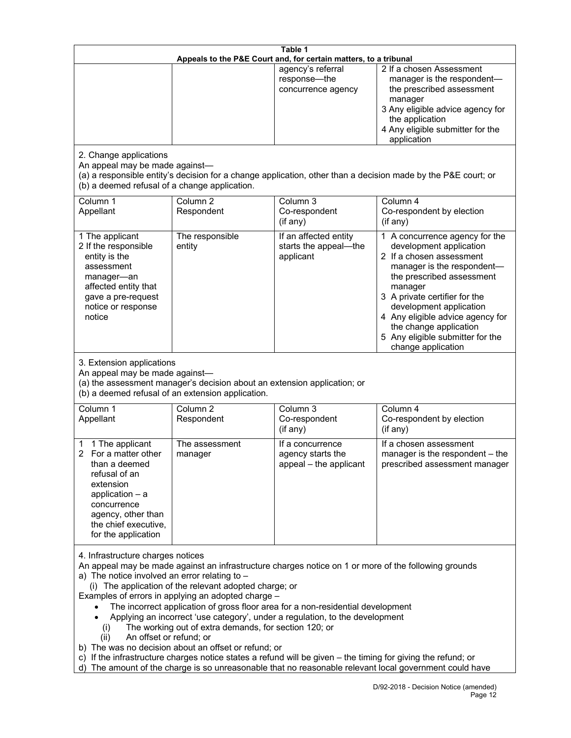| Table 1<br>Appeals to the P&E Court and, for certain matters, to a tribunal                                                                                                                                                                                                                                                                                                                                                                                                                                                                                                                                                                                                                                                                                                                                                                                          |                                   |                                                                 |                                                                                                                                                                                                                                                                                                                                                 |
|----------------------------------------------------------------------------------------------------------------------------------------------------------------------------------------------------------------------------------------------------------------------------------------------------------------------------------------------------------------------------------------------------------------------------------------------------------------------------------------------------------------------------------------------------------------------------------------------------------------------------------------------------------------------------------------------------------------------------------------------------------------------------------------------------------------------------------------------------------------------|-----------------------------------|-----------------------------------------------------------------|-------------------------------------------------------------------------------------------------------------------------------------------------------------------------------------------------------------------------------------------------------------------------------------------------------------------------------------------------|
|                                                                                                                                                                                                                                                                                                                                                                                                                                                                                                                                                                                                                                                                                                                                                                                                                                                                      |                                   | agency's referral<br>response-the<br>concurrence agency         | 2 If a chosen Assessment<br>manager is the respondent-<br>the prescribed assessment<br>manager<br>3 Any eligible advice agency for<br>the application<br>4 Any eligible submitter for the<br>application                                                                                                                                        |
| 2. Change applications<br>An appeal may be made against-<br>(b) a deemed refusal of a change application.                                                                                                                                                                                                                                                                                                                                                                                                                                                                                                                                                                                                                                                                                                                                                            |                                   |                                                                 | (a) a responsible entity's decision for a change application, other than a decision made by the P&E court; or                                                                                                                                                                                                                                   |
| Column 1<br>Appellant                                                                                                                                                                                                                                                                                                                                                                                                                                                                                                                                                                                                                                                                                                                                                                                                                                                | Column <sub>2</sub><br>Respondent | Column 3<br>Co-respondent<br>(if any)                           | Column 4<br>Co-respondent by election<br>(if any)                                                                                                                                                                                                                                                                                               |
| 1 The applicant<br>2 If the responsible<br>entity is the<br>assessment<br>manager-an<br>affected entity that<br>gave a pre-request<br>notice or response<br>notice                                                                                                                                                                                                                                                                                                                                                                                                                                                                                                                                                                                                                                                                                                   | The responsible<br>entity         | If an affected entity<br>starts the appeal-the<br>applicant     | 1 A concurrence agency for the<br>development application<br>2 If a chosen assessment<br>manager is the respondent-<br>the prescribed assessment<br>manager<br>3 A private certifier for the<br>development application<br>4 Any eligible advice agency for<br>the change application<br>5 Any eligible submitter for the<br>change application |
| 3. Extension applications<br>An appeal may be made against-<br>(a) the assessment manager's decision about an extension application; or<br>(b) a deemed refusal of an extension application.                                                                                                                                                                                                                                                                                                                                                                                                                                                                                                                                                                                                                                                                         |                                   |                                                                 |                                                                                                                                                                                                                                                                                                                                                 |
| Column 1<br>Appellant                                                                                                                                                                                                                                                                                                                                                                                                                                                                                                                                                                                                                                                                                                                                                                                                                                                | Column <sub>2</sub><br>Respondent | Column 3<br>Co-respondent<br>(if any)                           | Column 4<br>Co-respondent by election<br>(if any)                                                                                                                                                                                                                                                                                               |
| 1 The applicant<br>$\overline{2}$<br>For a matter other<br>than a deemed<br>refusal of an<br>extension<br>application $-$ a<br>concurrence<br>agency, other than<br>the chief executive,<br>for the application                                                                                                                                                                                                                                                                                                                                                                                                                                                                                                                                                                                                                                                      | The assessment<br>manager         | If a concurrence<br>agency starts the<br>appeal - the applicant | If a chosen assessment<br>manager is the respondent - the<br>prescribed assessment manager                                                                                                                                                                                                                                                      |
| 4. Infrastructure charges notices<br>An appeal may be made against an infrastructure charges notice on 1 or more of the following grounds<br>a) The notice involved an error relating to $-$<br>(i) The application of the relevant adopted charge; or<br>Examples of errors in applying an adopted charge -<br>The incorrect application of gross floor area for a non-residential development<br>Applying an incorrect 'use category', under a regulation, to the development<br>The working out of extra demands, for section 120; or<br>(1)<br>An offset or refund; or<br>(ii)<br>b) The was no decision about an offset or refund; or<br>c) If the infrastructure charges notice states a refund will be given - the timing for giving the refund; or<br>d) The amount of the charge is so unreasonable that no reasonable relevant local government could have |                                   |                                                                 |                                                                                                                                                                                                                                                                                                                                                 |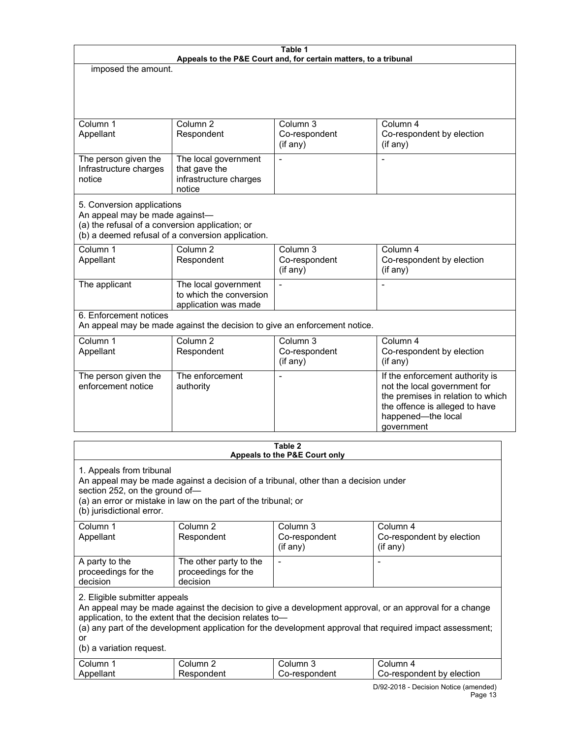| Table 1<br>Appeals to the P&E Court and, for certain matters, to a tribunal                                                                                          |                                                                           |                                       |                                                                                                                                                                            |  |
|----------------------------------------------------------------------------------------------------------------------------------------------------------------------|---------------------------------------------------------------------------|---------------------------------------|----------------------------------------------------------------------------------------------------------------------------------------------------------------------------|--|
| imposed the amount.                                                                                                                                                  |                                                                           |                                       |                                                                                                                                                                            |  |
|                                                                                                                                                                      |                                                                           |                                       |                                                                                                                                                                            |  |
| Column <sub>1</sub><br>Appellant                                                                                                                                     | Column <sub>2</sub><br>Respondent                                         | Column 3<br>Co-respondent<br>(if any) | Column 4<br>Co-respondent by election<br>$($ if any $)$                                                                                                                    |  |
| The person given the<br>Infrastructure charges<br>notice                                                                                                             | The local government<br>that gave the<br>infrastructure charges<br>notice |                                       |                                                                                                                                                                            |  |
| 5. Conversion applications<br>An appeal may be made against-<br>(a) the refusal of a conversion application; or<br>(b) a deemed refusal of a conversion application. |                                                                           |                                       |                                                                                                                                                                            |  |
| Column <sub>1</sub><br>Appellant                                                                                                                                     | Column <sub>2</sub><br>Respondent                                         | Column 3<br>Co-respondent<br>(if any) | Column 4<br>Co-respondent by election<br>(if any)                                                                                                                          |  |
| The applicant                                                                                                                                                        | The local government<br>to which the conversion<br>application was made   | $\overline{a}$                        |                                                                                                                                                                            |  |
| 6. Enforcement notices<br>An appeal may be made against the decision to give an enforcement notice.                                                                  |                                                                           |                                       |                                                                                                                                                                            |  |
| Column 1<br>Appellant                                                                                                                                                | Column <sub>2</sub><br>Respondent                                         | Column 3<br>Co-respondent<br>(if any) | Column 4<br>Co-respondent by election<br>(if any)                                                                                                                          |  |
| The person given the<br>enforcement notice                                                                                                                           | The enforcement<br>authority                                              |                                       | If the enforcement authority is<br>not the local government for<br>the premises in relation to which<br>the offence is alleged to have<br>happened-the local<br>government |  |
| Table 2                                                                                                                                                              |                                                                           |                                       |                                                                                                                                                                            |  |

| I GUIG A<br>Appeals to the P&E Court only                                                                                                                                                                                                                                                                                                          |                                                           |                            |                                       |  |
|----------------------------------------------------------------------------------------------------------------------------------------------------------------------------------------------------------------------------------------------------------------------------------------------------------------------------------------------------|-----------------------------------------------------------|----------------------------|---------------------------------------|--|
| 1. Appeals from tribunal<br>An appeal may be made against a decision of a tribunal, other than a decision under<br>section 252, on the ground of-<br>(a) an error or mistake in law on the part of the tribunal; or<br>(b) jurisdictional error.                                                                                                   |                                                           |                            |                                       |  |
| Column 1                                                                                                                                                                                                                                                                                                                                           | Column <sub>2</sub>                                       | Column 3                   | Column 4                              |  |
| Appellant                                                                                                                                                                                                                                                                                                                                          | Respondent                                                | Co-respondent<br>(i f any) | Co-respondent by election<br>(if any) |  |
| A party to the<br>proceedings for the<br>decision                                                                                                                                                                                                                                                                                                  | The other party to the<br>proceedings for the<br>decision |                            |                                       |  |
| 2. Eligible submitter appeals<br>An appeal may be made against the decision to give a development approval, or an approval for a change<br>application, to the extent that the decision relates to-<br>(a) any part of the development application for the development approval that required impact assessment;<br>or<br>(b) a variation request. |                                                           |                            |                                       |  |
| Column 1                                                                                                                                                                                                                                                                                                                                           | Column 2                                                  | Column 3                   | Column 4                              |  |
| Appellant                                                                                                                                                                                                                                                                                                                                          | Respondent                                                | Co-respondent              | Co-respondent by election             |  |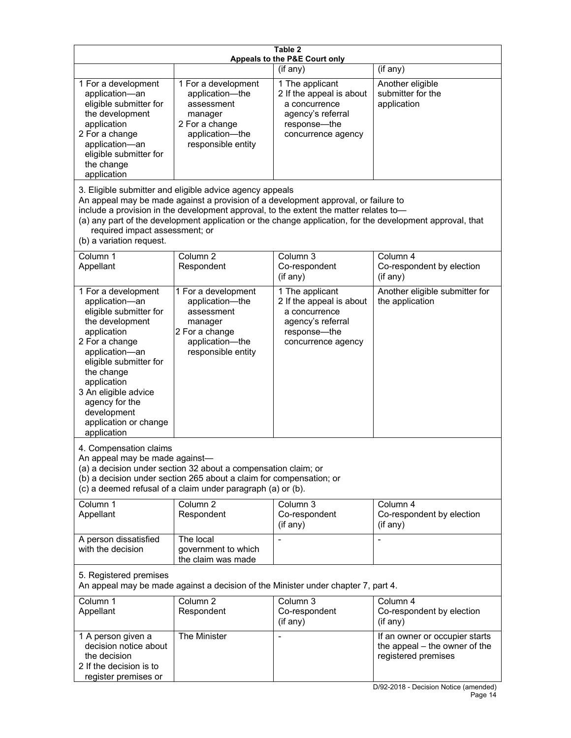| Table 2<br>Appeals to the P&E Court only                                                                                                                                                                                                                                                                                                                                                                           |                                                                                                                                                                                                      |                                                                                                                         |                                                                                                                               |  |
|--------------------------------------------------------------------------------------------------------------------------------------------------------------------------------------------------------------------------------------------------------------------------------------------------------------------------------------------------------------------------------------------------------------------|------------------------------------------------------------------------------------------------------------------------------------------------------------------------------------------------------|-------------------------------------------------------------------------------------------------------------------------|-------------------------------------------------------------------------------------------------------------------------------|--|
|                                                                                                                                                                                                                                                                                                                                                                                                                    |                                                                                                                                                                                                      | (if any)                                                                                                                | (if any)                                                                                                                      |  |
| 1 For a development<br>application-an<br>eligible submitter for<br>the development<br>application<br>2 For a change<br>application-an<br>eligible submitter for<br>the change<br>application                                                                                                                                                                                                                       | 1 For a development<br>application-the<br>assessment<br>manager<br>2 For a change<br>application-the<br>responsible entity                                                                           | 1 The applicant<br>2 If the appeal is about<br>a concurrence<br>agency's referral<br>response-the<br>concurrence agency | Another eligible<br>submitter for the<br>application                                                                          |  |
| 3. Eligible submitter and eligible advice agency appeals<br>An appeal may be made against a provision of a development approval, or failure to<br>include a provision in the development approval, to the extent the matter relates to-<br>(a) any part of the development application or the change application, for the development approval, that<br>required impact assessment; or<br>(b) a variation request. |                                                                                                                                                                                                      |                                                                                                                         |                                                                                                                               |  |
| Column <sub>1</sub><br>Appellant                                                                                                                                                                                                                                                                                                                                                                                   | Column <sub>2</sub><br>Respondent                                                                                                                                                                    | Column 3<br>Co-respondent<br>(if any)                                                                                   | Column 4<br>Co-respondent by election<br>(if any)                                                                             |  |
| 1 For a development<br>application-an<br>eligible submitter for<br>the development<br>application<br>2 For a change<br>application-an<br>eligible submitter for<br>the change<br>application<br>3 An eligible advice<br>agency for the<br>development<br>application or change<br>application                                                                                                                      | 1 For a development<br>application-the<br>assessment<br>manager<br>2 For a change<br>application-the<br>responsible entity                                                                           | 1 The applicant<br>2 If the appeal is about<br>a concurrence<br>agency's referral<br>response-the<br>concurrence agency | Another eligible submitter for<br>the application                                                                             |  |
| 4. Compensation claims<br>An appeal may be made against-                                                                                                                                                                                                                                                                                                                                                           | (a) a decision under section 32 about a compensation claim; or<br>(b) a decision under section 265 about a claim for compensation; or<br>(c) a deemed refusal of a claim under paragraph (a) or (b). |                                                                                                                         |                                                                                                                               |  |
| Column 1<br>Appellant                                                                                                                                                                                                                                                                                                                                                                                              | Column <sub>2</sub><br>Respondent                                                                                                                                                                    | Column 3<br>Co-respondent<br>(if any)                                                                                   | Column 4<br>Co-respondent by election<br>(if any)                                                                             |  |
| A person dissatisfied<br>with the decision                                                                                                                                                                                                                                                                                                                                                                         | The local<br>government to which<br>the claim was made                                                                                                                                               |                                                                                                                         |                                                                                                                               |  |
| 5. Registered premises<br>An appeal may be made against a decision of the Minister under chapter 7, part 4.                                                                                                                                                                                                                                                                                                        |                                                                                                                                                                                                      |                                                                                                                         |                                                                                                                               |  |
| Column 1<br>Appellant                                                                                                                                                                                                                                                                                                                                                                                              | Column <sub>2</sub><br>Respondent                                                                                                                                                                    | Column 3<br>Co-respondent<br>(if any)                                                                                   | Column 4<br>Co-respondent by election<br>(if any)                                                                             |  |
| 1 A person given a<br>decision notice about<br>the decision<br>2 If the decision is to<br>register premises or                                                                                                                                                                                                                                                                                                     | The Minister                                                                                                                                                                                         |                                                                                                                         | If an owner or occupier starts<br>the appeal – the owner of the<br>registered premises<br>D/02 2018 Decision Notice (amended) |  |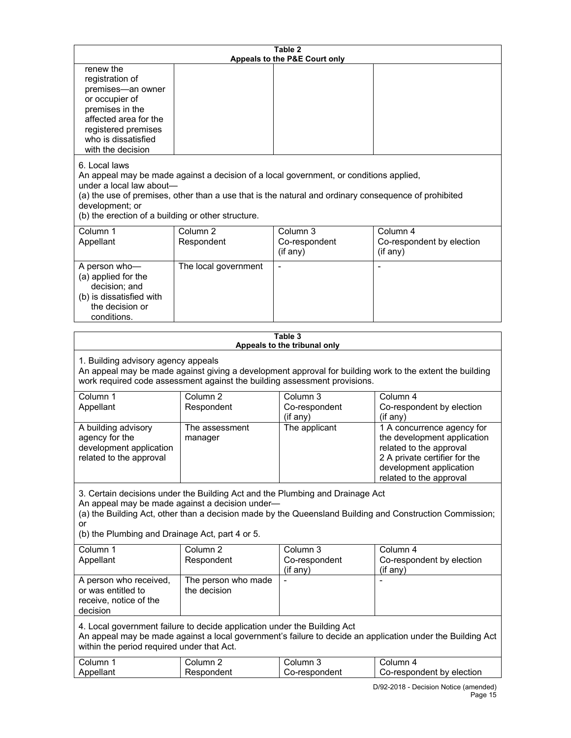| Table 2<br>Appeals to the P&E Court only                                                                                                                                                                                                                                                                             |                                     |                                       |                                                                                                                                                                             |
|----------------------------------------------------------------------------------------------------------------------------------------------------------------------------------------------------------------------------------------------------------------------------------------------------------------------|-------------------------------------|---------------------------------------|-----------------------------------------------------------------------------------------------------------------------------------------------------------------------------|
| renew the<br>registration of<br>premises-an owner<br>or occupier of<br>premises in the<br>affected area for the<br>registered premises<br>who is dissatisfied<br>with the decision                                                                                                                                   |                                     |                                       |                                                                                                                                                                             |
| 6. Local laws<br>An appeal may be made against a decision of a local government, or conditions applied,<br>under a local law about-<br>(a) the use of premises, other than a use that is the natural and ordinary consequence of prohibited<br>development; or<br>(b) the erection of a building or other structure. |                                     |                                       |                                                                                                                                                                             |
| Column 1<br>Appellant                                                                                                                                                                                                                                                                                                | Column <sub>2</sub><br>Respondent   | Column 3<br>Co-respondent<br>(if any) | Column 4<br>Co-respondent by election<br>(if any)                                                                                                                           |
| A person who-<br>(a) applied for the<br>decision; and<br>(b) is dissatisfied with<br>the decision or<br>conditions.                                                                                                                                                                                                  | The local government                |                                       |                                                                                                                                                                             |
|                                                                                                                                                                                                                                                                                                                      |                                     | Table 3                               |                                                                                                                                                                             |
| Appeals to the tribunal only<br>1. Building advisory agency appeals<br>An appeal may be made against giving a development approval for building work to the extent the building<br>work required code assessment against the building assessment provisions.                                                         |                                     |                                       |                                                                                                                                                                             |
| Column 1<br>Appellant                                                                                                                                                                                                                                                                                                | Column <sub>2</sub><br>Respondent   | Column 3<br>Co-respondent<br>(if any) | Column 4<br>Co-respondent by election<br>(if any)                                                                                                                           |
| A building advisory<br>agency for the<br>development application<br>related to the approval                                                                                                                                                                                                                          | The assessment<br>manager           | The applicant                         | 1 A concurrence agency for<br>the development application<br>related to the approval<br>2 A private certifier for the<br>development application<br>related to the approval |
| 3. Certain decisions under the Building Act and the Plumbing and Drainage Act<br>An appeal may be made against a decision under-<br>or                                                                                                                                                                               |                                     |                                       | (a) the Building Act, other than a decision made by the Queensland Building and Construction Commission;                                                                    |
| (b) the Plumbing and Drainage Act, part 4 or 5.                                                                                                                                                                                                                                                                      |                                     |                                       |                                                                                                                                                                             |
| Column 1<br>Appellant                                                                                                                                                                                                                                                                                                | Column <sub>2</sub><br>Respondent   | Column 3<br>Co-respondent<br>(if any) | Column 4<br>Co-respondent by election<br>(if any)                                                                                                                           |
| A person who received,<br>or was entitled to<br>receive, notice of the<br>decision                                                                                                                                                                                                                                   | The person who made<br>the decision |                                       |                                                                                                                                                                             |
| 4. Local government failure to decide application under the Building Act<br>An appeal may be made against a local government's failure to decide an application under the Building Act<br>within the period required under that Act.                                                                                 |                                     |                                       |                                                                                                                                                                             |
| Column 1<br>Appellant                                                                                                                                                                                                                                                                                                | Column <sub>2</sub><br>Respondent   | Column 3<br>Co-respondent             | Column 4<br>Co-respondent by election                                                                                                                                       |